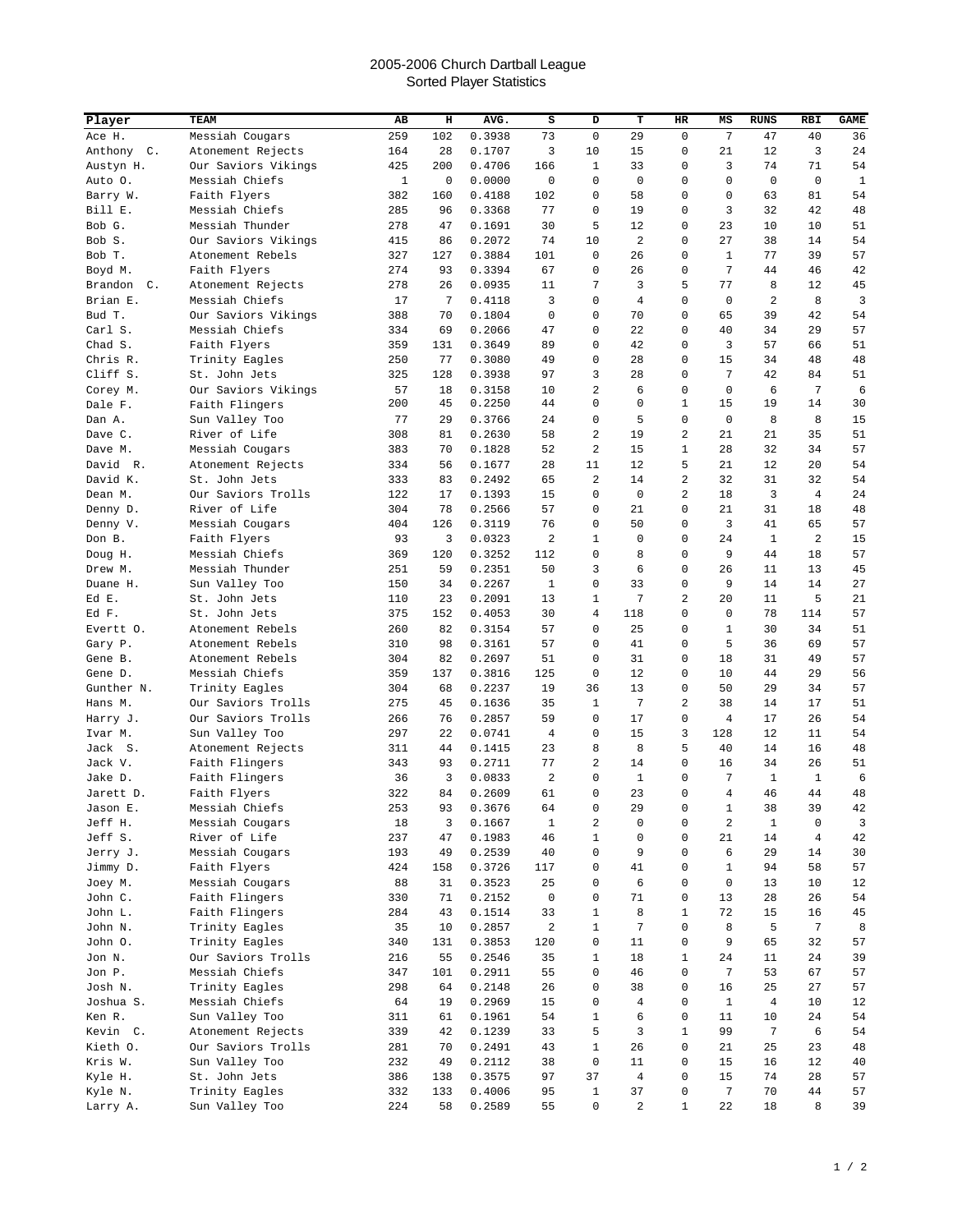## 2005-2006 Church Dartball League Sorted Player Statistics

| Player               | TEAM                                | AB           | н        | AVG.             | s            | D                    | т              | HR             | MS             | <b>RUNS</b>    | <b>RBI</b>     | <b>GAME</b> |
|----------------------|-------------------------------------|--------------|----------|------------------|--------------|----------------------|----------------|----------------|----------------|----------------|----------------|-------------|
| Ace H.               | Messiah Cougars                     | 259          | 102      | 0.3938           | 73           | $\mathbf 0$          | 29             | $\mathbf 0$    | 7              | 47             | 40             | 36          |
| Anthony C.           | Atonement Rejects                   | 164          | 28       | 0.1707           | 3            | 10                   | 15             | 0              | 21             | 12             | 3              | 24          |
| Austyn H.            | Our Saviors Vikings                 | 425          | 200      | 0.4706           | 166          | 1                    | 33             | 0              | 3              | 74             | 71             | 54          |
| Auto 0.              | Messiah Chiefs                      | $\mathbf{1}$ | 0        | 0.0000           | 0            | 0                    | 0              | 0              | 0              | 0              | $\mathbf 0$    | $1\,$       |
| Barry W.             | Faith Flyers                        | 382          | 160      | 0.4188           | 102          | 0                    | 58             | 0              | 0              | 63             | 81             | 54          |
| Bill E.              | Messiah Chiefs                      | 285          | 96       | 0.3368           | 77           | 0                    | 19             | 0              | 3              | 32             | 42             | 48          |
| Bob G.               | Messiah Thunder                     | 278          | 47       | 0.1691           | 30           | 5                    | 12             | 0              | 23             | 10             | 10             | 51          |
| Bob S.               | Our Saviors Vikings                 | 415          | 86       | 0.2072           | 74           | 10                   | 2              | 0              | 27             | 38             | 14             | 54          |
| Bob T.               | Atonement Rebels                    | 327          | 127      | 0.3884           | 101          | 0                    | 26             | 0              | $\mathbf{1}$   | 77             | 39             | 57          |
| Boyd M.              | Faith Flyers                        | 274          | 93       | 0.3394           | 67           | 0                    | 26             | 0              | 7              | 44             | 46             | 42          |
| Brandon C.           | Atonement Rejects                   | 278          | 26       | 0.0935           | 11           | 7                    | 3              | 5              | 77             | 8              | 12             | 45          |
| Brian E.             | Messiah Chiefs                      | 17           | 7        | 0.4118           | 3            | 0                    | 4              | 0              | $\mathbf 0$    | $\overline{2}$ | 8              | 3           |
| Bud T.               | Our Saviors Vikings                 | 388          | 70       | 0.1804           | $\mathbf 0$  | 0                    | 70             | 0              | 65             | 39             | 42             | 54          |
| Carl S.              | Messiah Chiefs                      | 334          | 69       | 0.2066           | 47           | 0                    | 22             | 0              | 40             | 34             | 29             | 57          |
| Chad S.              | Faith Flyers                        | 359          | 131      | 0.3649           | 89           | 0                    | 42             | 0              | 3              | 57             | 66             | 51          |
| Chris R.             | Trinity Eagles                      | 250          | 77       | 0.3080           | 49           | 0                    | 28             | 0              | 15             | 34             | 48             | 48          |
| Cliff S.             | St. John Jets                       | 325          | 128      | 0.3938           | 97           | 3                    | 28             | 0              | 7              | 42             | 84             | 51          |
| Corey M.             | Our Saviors Vikings                 | 57           | 18       | 0.3158           | 10           | 2                    | 6              | 0              | $\mathbf 0$    | 6              | 7              | 6           |
| Dale F.              | Faith Flingers                      | 200          | 45       | 0.2250           | 44           | 0                    | 0              | 1              | 15             | 19             | 14             | 30          |
| Dan A.               | Sun Valley Too                      | 77           | 29       | 0.3766           | 24           | 0                    | 5              | $\mathbf 0$    | $\mathbf 0$    | 8              | 8              | 15          |
| Dave C.              | River of Life                       | 308          | 81       | 0.2630           | 58           | 2                    | 19             | $\overline{a}$ | 21             | 21             | 35             | 51          |
| Dave M.              | Messiah Cougars                     | 383          | 70       | 0.1828           | 52           | $\overline{a}$       | 15             | 1              | 28             | 32             | 34             | 57          |
| David R.             | Atonement Rejects<br>St. John Jets  | 334          | 56       | 0.1677           | 28           | 11<br>$\overline{a}$ | 12             | 5<br>2         | 21             | 12             | 20             | 54          |
| David K.             | Our Saviors Trolls                  | 333          | 83       | 0.2492<br>0.1393 | 65           |                      | 14             | $\overline{a}$ | 32<br>18       | 31<br>3        | 32             | 54          |
| Dean M.              | River of Life                       | 122<br>304   | 17<br>78 | 0.2566           | 15<br>57     | 0<br>0               | 0<br>21        | 0              | 21             | 31             | 4<br>18        | 24<br>48    |
| Denny D.<br>Denny V. | Messiah Cougars                     | 404          | 126      | 0.3119           | 76           | 0                    | 50             | 0              | 3              | 41             | 65             | 57          |
| Don B.               | Faith Flyers                        | 93           | 3        | 0.0323           | $\sqrt{2}$   | 1                    | $\mathbf 0$    | 0              | 24             | 1              | 2              | 15          |
| Doug H.              | Messiah Chiefs                      | 369          | 120      | 0.3252           | 112          | 0                    | 8              | 0              | 9              | 44             | 18             | 57          |
| Drew M.              | Messiah Thunder                     | 251          | 59       | 0.2351           | 50           | 3                    | 6              | 0              | 26             | 11             | 13             | 45          |
| Duane H.             | Sun Valley Too                      | 150          | 34       | 0.2267           | $\mathbf{1}$ | $\mathsf 0$          | 33             | 0              | 9              | 14             | 14             | 27          |
| Ed E.                | St. John Jets                       | 110          | 23       | 0.2091           | 13           | 1                    | 7              | 2              | 20             | 11             | 5              | 21          |
| Ed F.                | St. John Jets                       | 375          | 152      | 0.4053           | 30           | $\overline{4}$       | 118            | 0              | $\mathbf 0$    | 78             | 114            | 57          |
| Evertt O.            | Atonement Rebels                    | 260          | 82       | 0.3154           | 57           | 0                    | 25             | 0              | $1\,$          | 30             | 34             | 51          |
| Gary P.              | Atonement Rebels                    | 310          | 98       | 0.3161           | 57           | 0                    | 41             | 0              | 5              | 36             | 69             | 57          |
| Gene B.              | Atonement Rebels                    | 304          | 82       | 0.2697           | 51           | 0                    | 31             | 0              | 18             | 31             | 49             | 57          |
| Gene D.              | Messiah Chiefs                      | 359          | 137      | 0.3816           | 125          | 0                    | 12             | 0              | 10             | 44             | 29             | 56          |
| Gunther N.           | Trinity Eagles                      | 304          | 68       | 0.2237           | 19           | 36                   | 13             | 0              | 50             | 29             | 34             | 57          |
| Hans M.              | Our Saviors Trolls                  | 275          | 45       | 0.1636           | 35           | 1                    | 7              | 2              | 38             | 14             | 17             | 51          |
| Harry J.             | Our Saviors Trolls                  | 266          | 76       | 0.2857           | 59           | 0                    | 17             | 0              | 4              | 17             | 26             | 54          |
| Ivar M.              | Sun Valley Too                      | 297          | 22       | 0.0741           | 4            | 0                    | 15             | 3              | 128            | 12             | 11             | 54          |
| Jack S.              | Atonement Rejects                   | 311          | 44       | 0.1415           | 23           | 8                    | 8              | 5              | 40             | 14             | 16             | 48          |
| Jack V.              | Faith Flingers                      | 343          | 93       | 0.2711           | 77           | 2                    | 14             | 0              | 16             | 34             | 26             | 51          |
| Jake D.              | Faith Flingers                      | 36           | 3        | 0.0833           | 2            | 0                    | 1              | $\mathbf 0$    | 7              | $\mathbf{1}$   | $\mathbf{1}$   | 6           |
| Jarett D.            | Faith Flyers                        | 322          | 84       | 0.2609           | 61           | 0                    | 23             | $\mathbf 0$    | $\overline{4}$ | 46             | 44             | 48          |
| Jason E.             | Messiah Chiefs                      | 253          | 93       | 0.3676           | 64           | 0                    | 29             | 0              | $\mathbf{1}$   | 38             | 39             | $4\,2$      |
| Jeff H.              | Messiah Cougars                     | 18           | 3        | 0.1667           | $\mathbf{1}$ | 2                    | 0              | 0              | 2              | $\mathbf{1}$   | 0              | 3           |
| Jeff S.              | River of Life                       | 237          | 47       | 0.1983           | 46           | 1                    | 0              | 0              | 21             | 14             | $\overline{4}$ | 42          |
| Jerry J.             | Messiah Cougars                     | 193          | 49       | 0.2539           | 40           | $\mathsf 0$          | 9              | 0              | 6              | 29             | 14             | 30          |
| Jimmy D.             | Faith Flyers                        | 424          | 158      | 0.3726           | 117          | 0                    | 41             | 0              | $\mathbf{1}$   | 94             | 58             | 57          |
| Joey M.              | Messiah Cougars                     | 88           | 31       | 0.3523           | 25           | 0                    | 6              | 0              | $\mathbf 0$    | 13             | 10             | 12          |
| John C.              | Faith Flingers                      | 330          | 71       | 0.2152           | $\mathsf 0$  | 0                    | 71             | 0              | 13             | 28             | 26             | 54          |
| John L.              | Faith Flingers                      | 284          | 43       | 0.1514           | 33           | 1                    | 8              | 1              | 72             | 15             | 16             | 45          |
| John N.              | Trinity Eagles                      | 35           | 10       | 0.2857           | $\sqrt{2}$   | $\mathbf{1}$         | 7              | 0              | 8              | 5              | 7              | 8           |
| John O.              | Trinity Eagles                      | 340          | 131      | 0.3853           | 120          | 0                    | 11             | $\mathbf 0$    | 9              | 65             | 32             | 57          |
| Jon N.               | Our Saviors Trolls                  | 216          | 55       | 0.2546           | 35           | 1                    | 18             | 1              | 24             | 11             | 24             | 39          |
| Jon P.               | Messiah Chiefs                      | 347          | 101      | 0.2911           | 55           | 0                    | 46             | 0              | 7              | 53             | 67             | 57          |
| Josh N.              | Trinity Eagles                      | 298          | 64       | 0.2148           | 26           | 0                    | 38             | 0              | 16             | 25             | 27             | 57          |
| Joshua S.            | Messiah Chiefs                      | 64           | 19       | 0.2969           | 15           | 0                    | 4              | 0              | $\mathbf{1}$   | $\overline{4}$ | 10             | 12          |
| Ken R.<br>Kevin C.   | Sun Valley Too<br>Atonement Rejects | 311<br>339   | 61<br>42 | 0.1961<br>0.1239 | 54<br>33     | 1<br>5               | 6<br>3         | 0<br>1         | 11<br>99       | 10<br>7        | 24<br>6        | 54<br>54    |
| Kieth O.             | Our Saviors Trolls                  | 281          | 70       | 0.2491           | 43           | 1                    | 26             | 0              | 21             | 25             | 23             | 48          |
| Kris W.              | Sun Valley Too                      | 232          | 49       | 0.2112           | 38           | 0                    | 11             | 0              | 15             | 16             | 12             | 40          |
| Kyle H.              | St. John Jets                       | 386          | 138      | 0.3575           | 97           | 37                   | $\overline{4}$ | 0              | 15             | 74             | 28             | 57          |
| Kyle N.              | Trinity Eagles                      | 332          | 133      | 0.4006           | 95           | 1                    | 37             | 0              | $\overline{7}$ | 70             | 44             | 57          |
| Larry A.             | Sun Valley Too                      | 224          | 58       | 0.2589           | 55           | $\mathsf 0$          | 2              | $\mathbf{1}$   | 22             | 18             | 8              | 39          |
|                      |                                     |              |          |                  |              |                      |                |                |                |                |                |             |